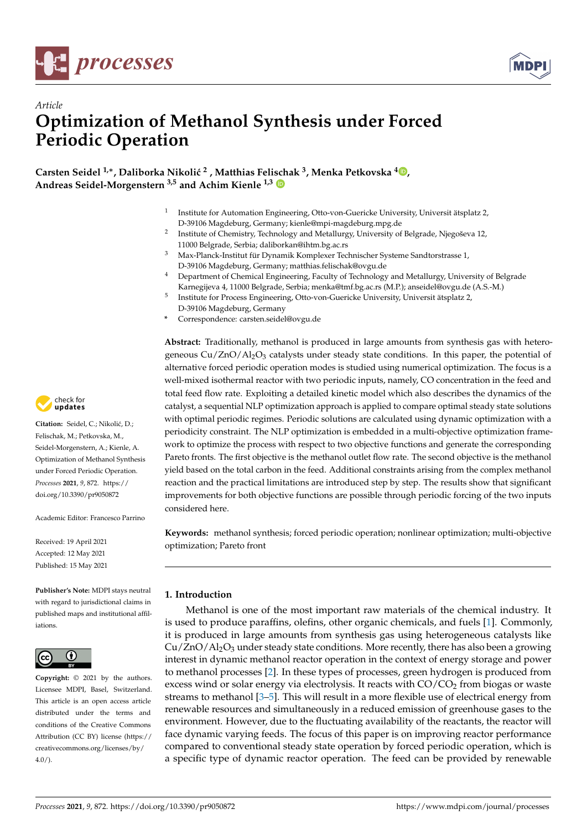



# *Article* **Optimization of Methanol Synthesis under Forced Periodic Operation**

**Carsten Seidel<sup>1,∗</sup>, Daliborka Nikolić<sup>2</sup>, Matthias Feli[sch](https://orcid.org/0000-0002-9011-0451)ak<sup>3</sup>[,](https://orcid.org/0000-0003-0792-4364) Menka Petkovska<sup>4</sup><b>D**, **Andreas Seidel-Morgenstern 3,5 and Achim Kienle 1,3**

- 1 Institute for Automation Engineering, Otto-von-Guericke University, Universit ätsplatz 2, D-39106 Magdeburg, Germany; kienle@mpi-magdeburg.mpg.de
- 2 Institute of Chemistry, Technology and Metallurgy, University of Belgrade, Njegoševa 12, 11000 Belgrade, Serbia; daliborkan@ihtm.bg.ac.rs
- <sup>3</sup> Max-Planck-Institut für Dynamik Komplexer Technischer Systeme Sandtorstrasse 1, D-39106 Magdeburg, Germany; matthias.felischak@ovgu.de
- <sup>4</sup> Department of Chemical Engineering, Faculty of Technology and Metallurgy, University of Belgrade Karnegijeva 4, 11000 Belgrade, Serbia; menka@tmf.bg.ac.rs (M.P.); anseidel@ovgu.de (A.S.-M.)
- 5 Institute for Process Engineering, Otto-von-Guericke University, Universit ätsplatz 2, D-39106 Magdeburg, Germany
- **\*** Correspondence: carsten.seidel@ovgu.de

**Abstract:** Traditionally, methanol is produced in large amounts from synthesis gas with heterogeneous  $Cu/ZnO/Al<sub>2</sub>O<sub>3</sub>$  catalysts under steady state conditions. In this paper, the potential of alternative forced periodic operation modes is studied using numerical optimization. The focus is a well-mixed isothermal reactor with two periodic inputs, namely, CO concentration in the feed and total feed flow rate. Exploiting a detailed kinetic model which also describes the dynamics of the catalyst, a sequential NLP optimization approach is applied to compare optimal steady state solutions with optimal periodic regimes. Periodic solutions are calculated using dynamic optimization with a periodicity constraint. The NLP optimization is embedded in a multi-objective optimization framework to optimize the process with respect to two objective functions and generate the corresponding Pareto fronts. The first objective is the methanol outlet flow rate. The second objective is the methanol yield based on the total carbon in the feed. Additional constraints arising from the complex methanol reaction and the practical limitations are introduced step by step. The results show that significant improvements for both objective functions are possible through periodic forcing of the two inputs considered here.

**Keywords:** methanol synthesis; forced periodic operation; nonlinear optimization; multi-objective optimization; Pareto front

# **1. Introduction**

Methanol is one of the most important raw materials of the chemical industry. It is used to produce paraffins, olefins, other organic chemicals, and fuels [\[1\]](#page-12-0). Commonly, it is produced in large amounts from synthesis gas using heterogeneous catalysts like  $Cu/ZnO/Al_2O_3$  under steady state conditions. More recently, there has also been a growing interest in dynamic methanol reactor operation in the context of energy storage and power to methanol processes [\[2\]](#page-12-1). In these types of processes, green hydrogen is produced from excess wind or solar energy via electrolysis. It reacts with  $CO/CO<sub>2</sub>$  from biogas or waste streams to methanol [\[3–](#page-12-2)[5\]](#page-12-3). This will result in a more flexible use of electrical energy from renewable resources and simultaneously in a reduced emission of greenhouse gases to the environment. However, due to the fluctuating availability of the reactants, the reactor will face dynamic varying feeds. The focus of this paper is on improving reactor performance compared to conventional steady state operation by forced periodic operation, which is a specific type of dynamic reactor operation. The feed can be provided by renewable



Citation: Seidel, C.; Nikolić, D.; Felischak, M.; Petkovska, M., Seidel-Morgenstern, A.; Kienle, A. Optimization of Methanol Synthesis under Forced Periodic Operation. *Processes* **2021**, *9*, 872. [https://](https://doi.org/10.3390/pr9050872) [doi.org/10.3390/pr9050872](https://doi.org/10.3390/pr9050872)

Academic Editor: Francesco Parrino

Received: 19 April 2021 Accepted: 12 May 2021 Published: 15 May 2021

**Publisher's Note:** MDPI stays neutral with regard to jurisdictional claims in published maps and institutional affiliations.



**Copyright:** © 2021 by the authors. Licensee MDPI, Basel, Switzerland. This article is an open access article distributed under the terms and conditions of the Creative Commons Attribution (CC BY) license (https:/[/](https://creativecommons.org/licenses/by/4.0/) [creativecommons.org/licenses/by/](https://creativecommons.org/licenses/by/4.0/)  $4.0/$ ).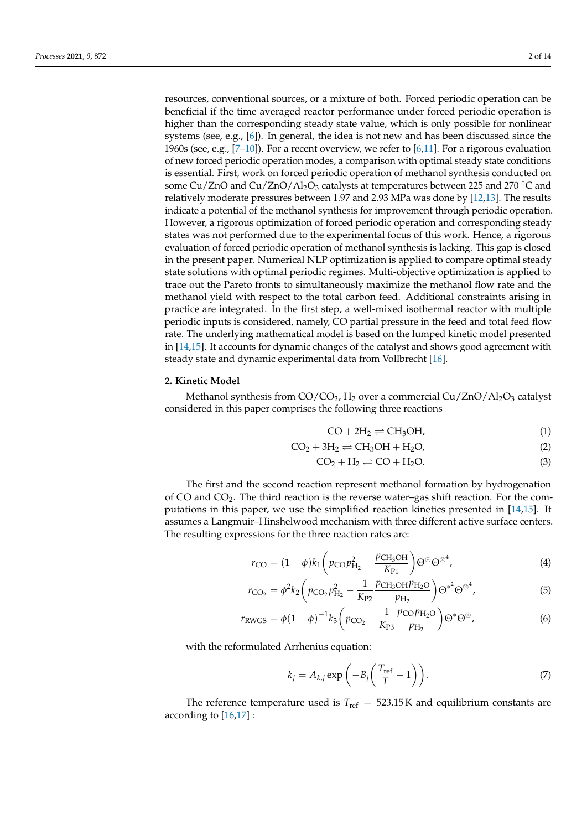resources, conventional sources, or a mixture of both. Forced periodic operation can be beneficial if the time averaged reactor performance under forced periodic operation is higher than the corresponding steady state value, which is only possible for nonlinear systems (see, e.g., [\[6\]](#page-12-4)). In general, the idea is not new and has been discussed since the 1960s (see, e.g.,  $[7-10]$  $[7-10]$ ). For a recent overview, we refer to [\[6](#page-12-4)[,11\]](#page-12-7). For a rigorous evaluation of new forced periodic operation modes, a comparison with optimal steady state conditions is essential. First, work on forced periodic operation of methanol synthesis conducted on some Cu/ZnO and Cu/ZnO/Al<sub>2</sub>O<sub>3</sub> catalysts at temperatures between 225 and 270 °C and relatively moderate pressures between 1.97 and 2.93 MPa was done by [\[12,](#page-12-8)[13\]](#page-12-9). The results indicate a potential of the methanol synthesis for improvement through periodic operation. However, a rigorous optimization of forced periodic operation and corresponding steady states was not performed due to the experimental focus of this work. Hence, a rigorous evaluation of forced periodic operation of methanol synthesis is lacking. This gap is closed in the present paper. Numerical NLP optimization is applied to compare optimal steady state solutions with optimal periodic regimes. Multi-objective optimization is applied to trace out the Pareto fronts to simultaneously maximize the methanol flow rate and the methanol yield with respect to the total carbon feed. Additional constraints arising in practice are integrated. In the first step, a well-mixed isothermal reactor with multiple periodic inputs is considered, namely, CO partial pressure in the feed and total feed flow rate. The underlying mathematical model is based on the lumped kinetic model presented in [\[14,](#page-13-0)[15\]](#page-13-1). It accounts for dynamic changes of the catalyst and shows good agreement with steady state and dynamic experimental data from Vollbrecht [\[16\]](#page-13-2).

# **2. Kinetic Model**

Methanol synthesis from  $CO/CO<sub>2</sub>$ , H<sub>2</sub> over a commercial Cu/ZnO/Al<sub>2</sub>O<sub>3</sub> catalyst considered in this paper comprises the following three reactions

<span id="page-1-3"></span><span id="page-1-2"></span>
$$
CO + 2H_2 \rightleftharpoons CH_3OH,
$$
 (1)

$$
CO2 + 3H2 \rightleftharpoons CH3OH + H2O,
$$
\n(2)

<span id="page-1-0"></span>
$$
CO2 + H2 \rightleftharpoons CO + H2O.
$$
\n(3)

The first and the second reaction represent methanol formation by hydrogenation of CO and  $CO<sub>2</sub>$ . The third reaction is the reverse water–gas shift reaction. For the computations in this paper, we use the simplified reaction kinetics presented in [\[14](#page-13-0)[,15\]](#page-13-1). It assumes a Langmuir–Hinshelwood mechanism with three different active surface centers. The resulting expressions for the three reaction rates are:

$$
r_{\rm CO} = (1 - \phi)k_1 \left( p_{\rm CO} p_{\rm H_2}^2 - \frac{p_{\rm CH_3OH}}{K_{\rm P1}} \right) \Theta^{\odot} \Theta^{\otimes^4},\tag{4}
$$

$$
r_{\rm{CO}_2} = \phi^2 k_2 \left( p_{\rm{CO}_2} p_{\rm{H}_2}^2 - \frac{1}{K_{\rm{P2}}} \frac{p_{\rm{CH}_3OH} p_{\rm{H}_2O}}{p_{\rm{H}_2}} \right) \Theta^{*2} \Theta^{\otimes 4},\tag{5}
$$

$$
r_{\text{RWGS}} = \phi (1 - \phi)^{-1} k_3 \left( p_{\text{CO}_2} - \frac{1}{K_{\text{P3}}} \frac{p_{\text{CO}} p_{\text{H}_2 \text{O}}}{p_{\text{H}_2}} \right) \Theta^* \Theta^{\odot}, \tag{6}
$$

with the reformulated Arrhenius equation:

<span id="page-1-1"></span>
$$
k_j = A_{k,j} \exp\left(-B_j \left(\frac{T_{\text{ref}}}{T} - 1\right)\right). \tag{7}
$$

The reference temperature used is  $T_{ref} = 523.15$  K and equilibrium constants are according to [\[16,](#page-13-2)[17\]](#page-13-3) :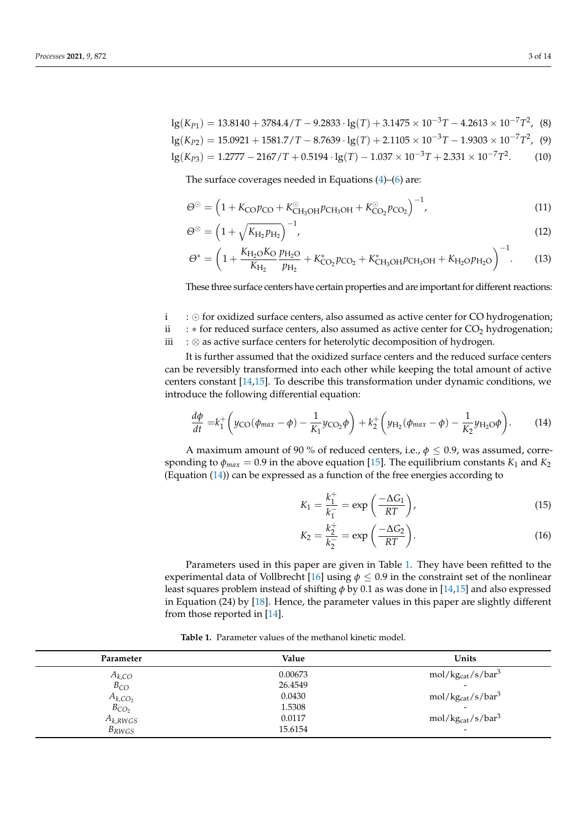lg(*K*<sub>P1</sub>) = 13.8140 + 3784.4/*T* − 9.2833 · lg(*T*) + 3.1475 × 10<sup>-3</sup>*T* − 4.2613 × 10<sup>-7</sup>*T*<sup>2</sup>, (8)  $lg(K_{P2}) = 15.0921 + 1581.7/T - 8.7639 \cdot lg(T) + 2.1105 \times 10^{-3}T - 1.9303 \times 10^{-7}T^2$ , (9)  $log(K_{P3}) = 1.2777 - 2167/T + 0.5194 ⋅ q(T) - 1.037 × 10<sup>-3</sup>T + 2.331 × 10<sup>-7</sup>T<sup>2</sup>$  $(10)$ 

The surface coverages needed in Equations [\(4\)](#page-1-0)–[\(6\)](#page-1-1) are:

<span id="page-2-1"></span>
$$
\Theta^{\odot} = \left(1 + K_{\rm CO} p_{\rm CO} + K_{\rm CH_3OH}^{\odot} p_{\rm CH_3OH} + K_{\rm CO_2}^{\odot} p_{\rm CO_2}\right)^{-1},\tag{11}
$$

$$
\Theta^{\otimes} = \left(1 + \sqrt{K_{\mathrm{H}_2} p_{\mathrm{H}_2}}\right)^{-1},\tag{12}
$$

$$
\Theta^* = \left(1 + \frac{K_{\text{H}_2\text{O}}K_{\text{O}}p_{\text{H}_2\text{O}}}{K_{\text{H}_2}} + K_{\text{CO}_2}^*p_{\text{CO}_2} + K_{\text{CH}_3\text{OH}}^*p_{\text{CH}_3\text{OH}} + K_{\text{H}_2\text{O}}p_{\text{H}_2\text{O}}\right)^{-1}.\tag{13}
$$

These three surface centers have certain properties and are important for different reactions:

 $i : \odot$  for oxidized surface centers, also assumed as active center for CO hydrogenation;<br> $i : *$  for reduced surface centers, also assumed as active center for CO<sub>2</sub> hydrogenation;

ii : ∗ for reduced surface centers, also assumed as active center for CO<sup>2</sup> hydrogenation; : ⊗ as active surface centers for heterolytic decomposition of hydrogen.

It is further assumed that the oxidized surface centers and the reduced surface centers can be reversibly transformed into each other while keeping the total amount of active centers constant [\[14](#page-13-0)[,15\]](#page-13-1). To describe this transformation under dynamic conditions, we introduce the following differential equation:

$$
\frac{d\phi}{dt} = k_1^+ \left( y_{\text{CO}}(\phi_{max} - \phi) - \frac{1}{K_1} y_{\text{CO}_2} \phi \right) + k_2^+ \left( y_{\text{H}_2}(\phi_{max} - \phi) - \frac{1}{K_2} y_{\text{H}_2\text{O}} \phi \right). \tag{14}
$$

A maximum amount of 90 % of reduced centers, i.e., *φ* ≤ 0.9, was assumed, corresponding to  $\phi_{max} = 0.9$  in the above equation [\[15\]](#page-13-1). The equilibrium constants  $K_1$  and  $K_2$ (Equation [\(14\)](#page-2-0)) can be expressed as a function of the free energies according to

<span id="page-2-2"></span><span id="page-2-0"></span>
$$
K_1 = \frac{k_1^+}{k_1^-} = \exp\left(\frac{-\Delta G_1}{RT}\right),\tag{15}
$$

$$
K_2 = \frac{k_2^+}{k_2^-} = \exp\left(\frac{-\Delta G_2}{RT}\right). \tag{16}
$$

Parameters used in this paper are given in Table [1.](#page-3-0) They have been refitted to the experimental data of Vollbrecht [\[16\]](#page-13-2) using  $\phi \leq 0.9$  in the constraint set of the nonlinear least squares problem instead of shifting *φ* by 0.1 as was done in [\[14,](#page-13-0)[15\]](#page-13-1) and also expressed in Equation (24) by [\[18\]](#page-13-4). Hence, the parameter values in this paper are slightly different from those reported in [\[14\]](#page-13-0).

**Table 1.** Parameter values of the methanol kinetic model.

| Parameter                  | Value   | Units                                     |
|----------------------------|---------|-------------------------------------------|
| $A_{k,CO}$                 | 0.00673 | $mol/kg_{cat}/s/bar3$                     |
| $B_{CO}$                   | 26.4549 | $\overline{\phantom{0}}$                  |
|                            | 0.0430  | mol/kg <sub>cat</sub> /s/bar <sup>3</sup> |
| $A_{k,CO_2}$<br>$B_{CO_2}$ | 1.5308  | $\overline{\phantom{0}}$                  |
| $A_{k,RWGS}$               | 0.0117  | $mol/kg_{cat}/s/bar3$                     |
| $B_{RWGS}$                 | 15.6154 | $\overline{\phantom{0}}$                  |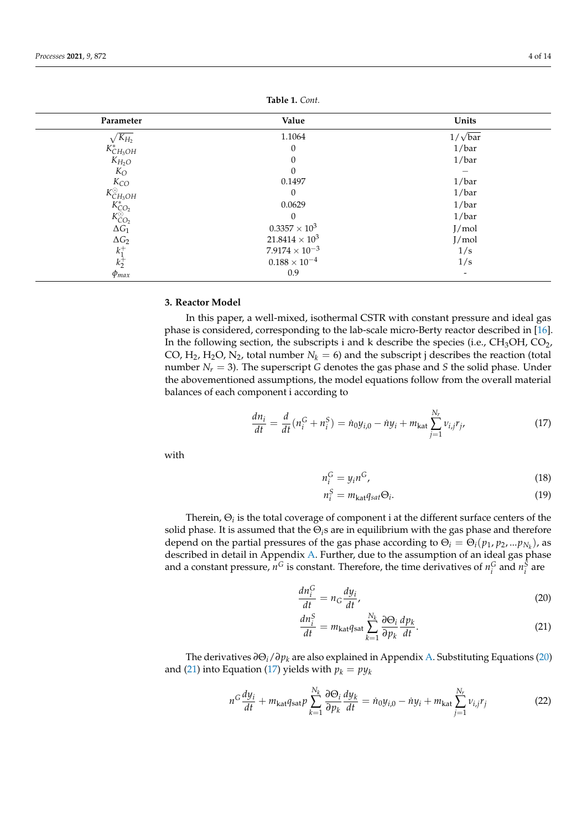<span id="page-3-0"></span>

| Parameter                                                                                                       | Value                   | Units          |
|-----------------------------------------------------------------------------------------------------------------|-------------------------|----------------|
| $\sqrt{K_{H_2}}$                                                                                                | 1.1064                  | $1/\sqrt{bar}$ |
| $K_{CH_3OH}^*$<br>$K_{H_2O}$<br>$K_O$                                                                           | $\theta$                | 1/bar          |
|                                                                                                                 | $\Omega$                | 1/bar          |
|                                                                                                                 |                         |                |
|                                                                                                                 | 0.1497                  | 1/bar          |
|                                                                                                                 | $\Omega$                | 1/bar          |
|                                                                                                                 | 0.0629                  | 1/bar          |
|                                                                                                                 | $\Omega$                | 1/bar          |
| $\begin{matrix} K_{CO} \\ K_{CH_3OH}^{\odot} \\ K_{CO_2}^{\ast} \\ K_{CO_2}^{\odot} \\ \Delta G_1 \end{matrix}$ | $0.3357 \times 10^3$    | J/mol          |
| $\Delta G_2$                                                                                                    | $21.8414 \times 10^3$   | J/mol          |
| $k_1^+$                                                                                                         | $7.9174 \times 10^{-3}$ | 1/s            |
| $k_2^+$                                                                                                         | $0.188\times10^{-4}$    | 1/s            |
| $\varphi_{max}$                                                                                                 | 0.9                     |                |

**Table 1.** *Cont.*

#### **3. Reactor Model**

In this paper, a well-mixed, isothermal CSTR with constant pressure and ideal gas phase is considered, corresponding to the lab-scale micro-Berty reactor described in [\[16\]](#page-13-2). In the following section, the subscripts i and k describe the species (i.e.,  $CH<sub>3</sub>OH$ ,  $CO<sub>2</sub>$ , CO,  $H_2$ ,  $H_2O$ ,  $N_2$ , total number  $N_k = 6$ ) and the subscript j describes the reaction (total number  $N_r = 3$ ). The superscript *G* denotes the gas phase and *S* the solid phase. Under the abovementioned assumptions, the model equations follow from the overall material balances of each component i according to

$$
\frac{dn_i}{dt} = \frac{d}{dt}(n_i^G + n_i^S) = \dot{n}_0 y_{i,0} - \dot{n}y_i + m_{\text{kat}} \sum_{j=1}^{N_r} v_{i,j} r_j,\tag{17}
$$

with

<span id="page-3-3"></span>
$$
n_i^G = y_i n^G,\tag{18}
$$

<span id="page-3-1"></span>
$$
n_i^S = m_{\text{kat}} q_{\text{sat}} \Theta_i. \tag{19}
$$

Therein,  $\Theta_i$  is the total coverage of component i at the different surface centers of the solid phase. It is assumed that the Θ*i*s are in equilibrium with the gas phase and therefore depend on the partial pressures of the gas phase according to  $\Theta_i = \Theta_i(p_1, p_2, ... p_{N_k})$ , as described in detail in Appendix [A.](#page-12-10) Further, due to the assumption of an ideal gas phase and a constant pressure,  $n^G$  is constant. Therefore, the time derivatives of  $n_i^G$  and  $n_i^S$  are

$$
\frac{dn_i^G}{dt} = n_G \frac{dy_i}{dt},\tag{20}
$$

<span id="page-3-4"></span><span id="page-3-2"></span>
$$
\frac{dn_i^S}{dt} = m_{\text{kat}} q_{\text{sat}} \sum_{k=1}^{N_k} \frac{\partial \Theta_i}{\partial p_k} \frac{dp_k}{dt}.
$$
 (21)

The derivatives *∂*Θ*i*/*∂p<sup>k</sup>* are also explained in Appendix [A.](#page-12-10) Substituting Equations [\(20\)](#page-3-1) and [\(21\)](#page-3-2) into Equation [\(17\)](#page-3-3) yields with  $p_k = py_k$ 

$$
n^G \frac{dy_i}{dt} + m_{\text{kat}} q_{\text{sat}} p \sum_{k=1}^{N_k} \frac{\partial \Theta_i}{\partial p_k} \frac{dy_k}{dt} = \dot{n}_0 y_{i,0} - \dot{n} y_i + m_{\text{kat}} \sum_{j=1}^{N_r} v_{i,j} r_j \tag{22}
$$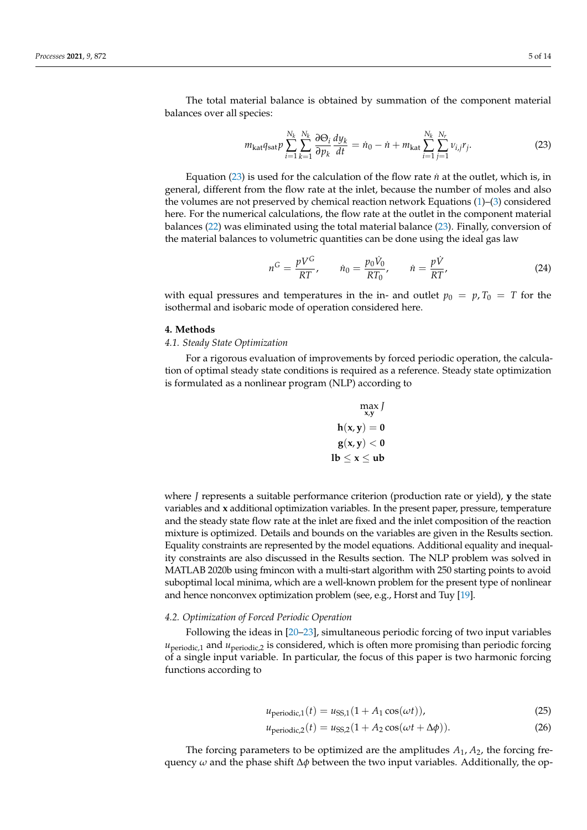The total material balance is obtained by summation of the component material balances over all species:

<span id="page-4-0"></span>
$$
m_{\text{kat}}q_{\text{sat}}p\sum_{i=1}^{N_k}\sum_{k=1}^{N_k}\frac{\partial\Theta_i}{\partial p_k}\frac{dy_k}{dt} = \dot{n}_0 - \dot{n} + m_{\text{kat}}\sum_{i=1}^{N_k}\sum_{j=1}^{N_r}v_{i,j}r_j.
$$
 (23)

Equation  $(23)$  is used for the calculation of the flow rate *n*<sup> $i$ </sup> at the outlet, which is, in general, different from the flow rate at the inlet, because the number of moles and also the volumes are not preserved by chemical reaction network Equations [\(1\)](#page-1-2)–[\(3\)](#page-1-3) considered here. For the numerical calculations, the flow rate at the outlet in the component material balances [\(22\)](#page-3-4) was eliminated using the total material balance [\(23\)](#page-4-0). Finally, conversion of the material balances to volumetric quantities can be done using the ideal gas law

$$
n^G = \frac{pV^G}{RT}, \qquad \dot{n}_0 = \frac{p_0\dot{V}_0}{RT_0}, \qquad \dot{n} = \frac{p\dot{V}}{RT}, \tag{24}
$$

with equal pressures and temperatures in the in- and outlet  $p_0 = p$ ,  $T_0 = T$  for the isothermal and isobaric mode of operation considered here.

# **4. Methods**

# *4.1. Steady State Optimization*

For a rigorous evaluation of improvements by forced periodic operation, the calculation of optimal steady state conditions is required as a reference. Steady state optimization is formulated as a nonlinear program (NLP) according to

$$
\max_{x,y} J
$$

$$
h(x,y) = 0
$$

$$
g(x,y) < 0
$$

$$
lb \le x \le ub
$$

where *J* represents a suitable performance criterion (production rate or yield), **y** the state variables and **x** additional optimization variables. In the present paper, pressure, temperature and the steady state flow rate at the inlet are fixed and the inlet composition of the reaction mixture is optimized. Details and bounds on the variables are given in the Results section. Equality constraints are represented by the model equations. Additional equality and inequality constraints are also discussed in the Results section. The NLP problem was solved in MATLAB 2020b using fmincon with a multi-start algorithm with 250 starting points to avoid suboptimal local minima, which are a well-known problem for the present type of nonlinear and hence nonconvex optimization problem (see, e.g., Horst and Tuy [\[19\]](#page-13-5).

## *4.2. Optimization of Forced Periodic Operation*

Following the ideas in [\[20–](#page-13-6)[23\]](#page-13-7), simultaneous periodic forcing of two input variables *u*<sub>periodic,1</sub> and *u*<sub>periodic,2</sub> is considered, which is often more promising than periodic forcing of a single input variable. In particular, the focus of this paper is two harmonic forcing functions according to

$$
u_{\text{periodic},1}(t) = u_{\text{SS},1}(1 + A_1 \cos(\omega t)),\tag{25}
$$

$$
u_{\text{periodic},2}(t) = u_{\text{SS},2}(1 + A_2 \cos(\omega t + \Delta \phi)).\tag{26}
$$

The forcing parameters to be optimized are the amplitudes *A*1, *A*2, the forcing frequency *ω* and the phase shift ∆*φ* between the two input variables. Additionally, the op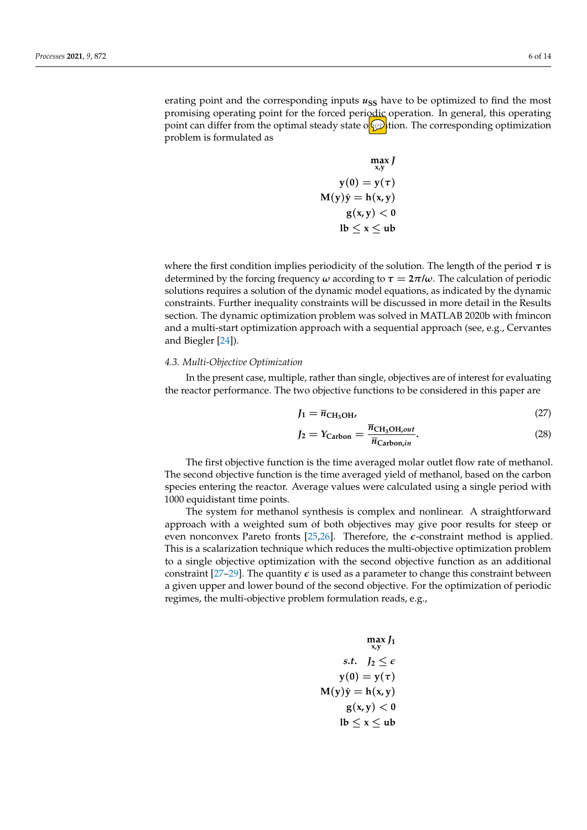erating point and the corresponding inputs  $u_{SS}$  have to be optimized to find the most promising operating point for the forced periodic operation. In general, this operating point can differ from the optimal steady state of  $\circ$  tion. The corresponding optimization problem is formulated as

$$
\max_{x,y} J
$$
  
\n
$$
y(0) = y(\tau)
$$
  
\n
$$
M(y)\dot{y} = h(x,y)
$$
  
\n
$$
g(x,y) < 0
$$
  
\n
$$
lb \le x \le ub
$$

where the first condition implies periodicity of the solution. The length of the period *τ* is determined by the forcing frequency  $\omega$  according to  $\tau = 2\pi/\omega$ . The calculation of periodic solutions requires a solution of the dynamic model equations, as indicated by the dynamic constraints. Further inequality constraints will be discussed in more detail in the Results section. The dynamic optimization problem was solved in MATLAB 2020b with fmincon and a multi-start optimization approach with a sequential approach (see, e.g., Cervantes and Biegler [\[24\]](#page-13-8)).

## *4.3. Multi-Objective Optimization*

In the present case, multiple, rather than single, objectives are of interest for evaluating the reactor performance. The two objective functions to be considered in this paper are

<span id="page-5-0"></span>
$$
J_1 = \overline{n}_{\text{CH}_3\text{OH}} \tag{27}
$$

<span id="page-5-1"></span>
$$
J_2 = Y_{\text{Carbon}} = \frac{\overline{n}_{\text{CH}_3\text{OH,out}}}{\overline{n}_{\text{Carbon,in}}}.
$$
 (28)

The first objective function is the time averaged molar outlet flow rate of methanol. The second objective function is the time averaged yield of methanol, based on the carbon species entering the reactor. Average values were calculated using a single period with 1000 equidistant time points.

The system for methanol synthesis is complex and nonlinear. A straightforward approach with a weighted sum of both objectives may give poor results for steep or even nonconvex Pareto fronts [\[25,](#page-13-9)[26\]](#page-13-10). Therefore, the *e*-constraint method is applied. This is a scalarization technique which reduces the multi-objective optimization problem to a single objective optimization with the second objective function as an additional constraint  $[27-29]$  $[27-29]$ . The quantity  $\epsilon$  is used as a parameter to change this constraint between a given upper and lower bound of the second objective. For the optimization of periodic regimes, the multi-objective problem formulation reads, e.g.,

$$
\begin{array}{c}\n\max_{x,y} J_1 \\
\text{s.t.} \quad J_2 \le \epsilon \\
y(0) = y(\tau) \\
\text{M}(y)\dot{y} = h(x,y) \\
g(x,y) < 0 \\
\text{lb} \le x \le \text{ub}\n\end{array}
$$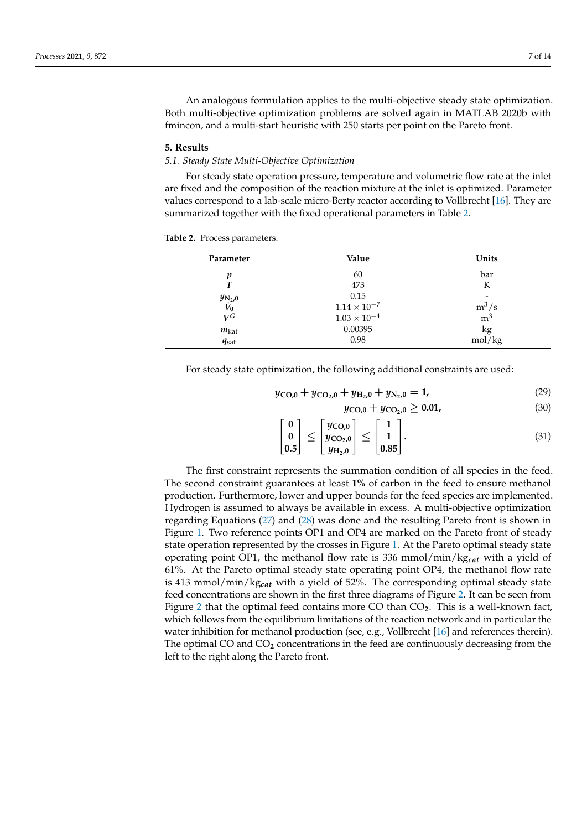An analogous formulation applies to the multi-objective steady state optimization. Both multi-objective optimization problems are solved again in MATLAB 2020b with fmincon, and a multi-start heuristic with 250 starts per point on the Pareto front.

#### **5. Results**

#### *5.1. Steady State Multi-Objective Optimization*

For steady state operation pressure, temperature and volumetric flow rate at the inlet are fixed and the composition of the reaction mixture at the inlet is optimized. Parameter values correspond to a lab-scale micro-Berty reactor according to Vollbrecht [\[16\]](#page-13-2). They are summarized together with the fixed operational parameters in Table [2.](#page-6-0)

| Parameter                         | Value                 | Units          |
|-----------------------------------|-----------------------|----------------|
| n                                 | 60                    | bar            |
| т                                 | 473                   | К              |
|                                   | 0.15                  | -              |
| $\frac{y_{\rm N_2,0}}{\dot{V}_0}$ | $1.14\times10^{-7}$   | $m^3/s$        |
| $V^{\tilde{G}}$                   | $1.03 \times 10^{-4}$ | m <sup>3</sup> |
| $m_{\rm kat}$                     | 0.00395               | kg             |
| $q_{\text{sat}}$                  | 0.98                  | mol/kg         |

<span id="page-6-0"></span>**Table 2.** Process parameters.

For steady state optimization, the following additional constraints are used:

$$
y_{\text{CO},0} + y_{\text{CO}_2,0} + y_{\text{H}_2,0} + y_{\text{N}_2,0} = 1, \tag{29}
$$

$$
y_{\rm CO,0} + y_{\rm CO_2,0} \ge 0.01,\tag{30}
$$

$$
\begin{bmatrix} 0 \\ 0 \\ 0.5 \end{bmatrix} \le \begin{bmatrix} y_{\text{CO},0} \\ y_{\text{CO}_2,0} \\ y_{\text{H}_2,0} \end{bmatrix} \le \begin{bmatrix} 1 \\ 1 \\ 0.85 \end{bmatrix}.
$$
 (31)

The first constraint represents the summation condition of all species in the feed. The second constraint guarantees at least **1%** of carbon in the feed to ensure methanol production. Furthermore, lower and upper bounds for the feed species are implemented. Hydrogen is assumed to always be available in excess. A multi-objective optimization regarding Equations [\(27\)](#page-5-0) and [\(28\)](#page-5-1) was done and the resulting Pareto front is shown in Figure [1.](#page-7-0) Two reference points OP1 and OP4 are marked on the Pareto front of steady state operation represented by the crosses in Figure [1.](#page-7-0) At the Pareto optimal steady state operating point OP1, the methanol flow rate is 336 mmol/min/kg*cat* with a yield of 61%. At the Pareto optimal steady state operating point OP4, the methanol flow rate is 413 mmol/min/kg*cat* with a yield of 52%. The corresponding optimal steady state feed concentrations are shown in the first three diagrams of Figure [2.](#page-7-1) It can be seen from Figure [2](#page-7-1) that the optimal feed contains more CO than CO**2**. This is a well-known fact, which follows from the equilibrium limitations of the reaction network and in particular the water inhibition for methanol production (see, e.g., Vollbrecht [\[16\]](#page-13-2) and references therein). The optimal CO and CO**2** concentrations in the feed are continuously decreasing from the left to the right along the Pareto front.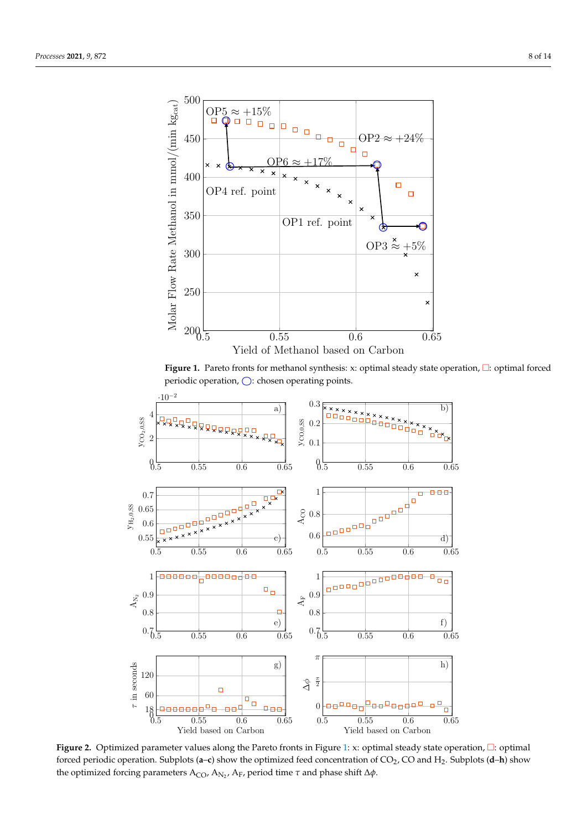<span id="page-7-0"></span>

Figure 1. Pareto fronts for methanol synthesis: x: optimal steady state operation,  $\square$ : optimal forced periodic operation,  $\bigcirc$ : chosen operating points.

<span id="page-7-1"></span>

Figure 2. Optimized parameter values along the Pareto fronts in Figure [1:](#page-7-0) x: optimal steady state operation,  $\Box$ : optimal forced periodic operation. Subplots (a-c) show the optimized feed concentration of CO<sub>2</sub>, CO and H<sub>2</sub>. Subplots (d-h) show the optimized forcing parameters A<sub>CO</sub>, A<sub>N2</sub>, A<sub>F</sub>, period time *τ* and phase shift Δφ.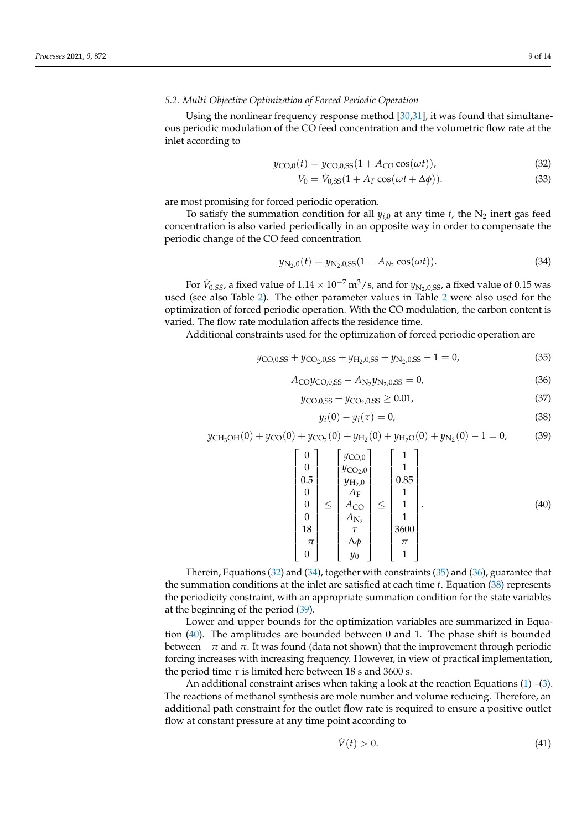## *5.2. Multi-Objective Optimization of Forced Periodic Operation*

Using the nonlinear frequency response method [\[30](#page-13-13)[,31\]](#page-13-14), it was found that simultaneous periodic modulation of the CO feed concentration and the volumetric flow rate at the inlet according to

$$
y_{\text{CO},0}(t) = y_{\text{CO},0,\text{SS}}(1 + A_{\text{CO}}\cos(\omega t)),\tag{32}
$$

<span id="page-8-1"></span><span id="page-8-0"></span>
$$
\dot{V}_0 = \dot{V}_{0,\text{SS}}(1 + A_F \cos(\omega t + \Delta \phi)).\tag{33}
$$

are most promising for forced periodic operation.

To satisfy the summation condition for all  $y_{i,0}$  at any time *t*, the N<sub>2</sub> inert gas feed concentration is also varied periodically in an opposite way in order to compensate the periodic change of the CO feed concentration

$$
y_{\rm N_2,0}(t) = y_{\rm N_2,0,SS}(1 - A_{\rm N_2}\cos(\omega t)).
$$
\n(34)

For  $V_{0.5S}$ , a fixed value of  $1.14 \times 10^{-7}$  m<sup>3</sup>/s, and for  $y_{N_2,0,SS}$ , a fixed value of 0.15 was used (see also Table [2\)](#page-6-0). The other parameter values in Table [2](#page-6-0) were also used for the optimization of forced periodic operation. With the CO modulation, the carbon content is varied. The flow rate modulation affects the residence time.

Additional constraints used for the optimization of forced periodic operation are

<span id="page-8-2"></span>
$$
y_{\rm CO, 0, SS} + y_{\rm CO_2, 0, SS} + y_{\rm H_2, 0, SS} + y_{\rm N_2, 0, SS} - 1 = 0,
$$
\n(35)

<span id="page-8-3"></span>
$$
A_{\rm CO}y_{\rm CO,0,SS} - A_{\rm N_2}y_{\rm N_2,0,SS} = 0,\t\t(36)
$$

$$
y_{\rm CO, 0, SS} + y_{\rm CO_2, 0, SS} \ge 0.01,\tag{37}
$$

<span id="page-8-4"></span>
$$
y_i(0) - y_i(\tau) = 0,\t\t(38)
$$

<span id="page-8-5"></span> $y_{CH_3OH}(0) + y_{CO}(0) + y_{CO_2}(0) + y_{H_2}(0) + y_{H_2O}(0) + y_{N_2}(0) - 1 = 0,$  (39)

<span id="page-8-6"></span>
$$
\begin{bmatrix} 0 \\ 0 \\ 0.5 \\ 0 \\ 0 \\ 0 \\ 0 \\ 18 \\ -\pi \\ 0 \end{bmatrix} \leq \begin{bmatrix} y_{\text{CO},0} \\ y_{\text{CO}_2,0} \\ y_{\text{H}_2,0} \\ A_{\text{F}} \\ A_{\text{CO}} \\ A_{\text{N}_2} \\ \pi \\ 0 \\ y_0 \end{bmatrix} \leq \begin{bmatrix} 1 \\ 1 \\ 0.85 \\ 1 \\ 1 \\ 1 \\ 3600 \\ \pi \\ 1 \end{bmatrix} . \tag{40}
$$

Therein, Equations [\(32\)](#page-8-0) and [\(34\)](#page-8-1), together with constraints [\(35\)](#page-8-2) and [\(36\)](#page-8-3), guarantee that the summation conditions at the inlet are satisfied at each time *t*. Equation [\(38\)](#page-8-4) represents the periodicity constraint, with an appropriate summation condition for the state variables at the beginning of the period [\(39\)](#page-8-5).

Lower and upper bounds for the optimization variables are summarized in Equation [\(40\)](#page-8-6). The amplitudes are bounded between 0 and 1. The phase shift is bounded between −*π* and *π*. It was found (data not shown) that the improvement through periodic forcing increases with increasing frequency. However, in view of practical implementation, the period time  $\tau$  is limited here between 18 s and 3600 s.

An additional constraint arises when taking a look at the reaction Equations  $(1)$  – $(3)$ . The reactions of methanol synthesis are mole number and volume reducing. Therefore, an additional path constraint for the outlet flow rate is required to ensure a positive outlet flow at constant pressure at any time point according to

$$
\dot{V}(t) > 0. \tag{41}
$$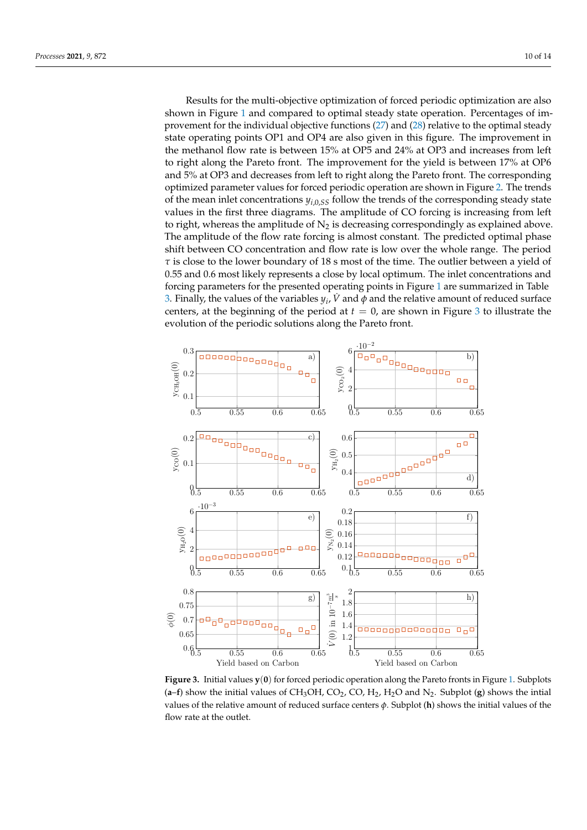Results for the multi-objective optimization of forced periodic optimization are also shown in Figure [1](#page-7-0) and compared to optimal steady state operation. Percentages of improvement for the individual objective functions [\(27\)](#page-5-0) and [\(28\)](#page-5-1) relative to the optimal steady state operating points OP1 and OP4 are also given in this figure. The improvement in the methanol flow rate is between 15% at OP5 and 24% at OP3 and increases from left to right along the Pareto front. The improvement for the yield is between 17% at OP6 and 5% at OP3 and decreases from left to right along the Pareto front. The corresponding optimized parameter values for forced periodic operation are shown in Figure [2.](#page-7-1) The trends of the mean inlet concentrations  $y_{i,0,S}$  follow the trends of the corresponding steady state values in the first three diagrams. The amplitude of CO forcing is increasing from left to right, whereas the amplitude of  $N_2$  is decreasing correspondingly as explained above. The amplitude of the flow rate forcing is almost constant. The predicted optimal phase shift between CO concentration and flow rate is low over the whole range. The period *τ* is close to the lower boundary of 18 s most of the time. The outlier between a yield of 0.55 and 0.6 most likely represents a close by local optimum. The inlet concentrations and forcing parameters for the presented operating points in Figure [1](#page-7-0) are summarized in Table [3.](#page-10-0) Finally, the values of the variables  $y_i$ ,  $\dot{V}$  and  $\phi$  and the relative amount of reduced surface centers, at the beginning of the period at  $t = 0$ , are shown in Figure [3](#page-9-0) to illustrate the evolution of the periodic solutions along the Pareto front.

<span id="page-9-0"></span>

**Figure 3.** Initial values **y**(**0**) for forced periodic operation along the Pareto fronts in Figure [1.](#page-7-0) Subplots  $(a-f)$  show the initial values of CH<sub>3</sub>OH, CO<sub>2</sub>, CO, H<sub>2</sub>, H<sub>2</sub>O and N<sub>2</sub>. Subplot (**g**) shows the intial values of the relative amount of reduced surface centers *φ*. Subplot (**h**) shows the initial values of the flow rate at the outlet.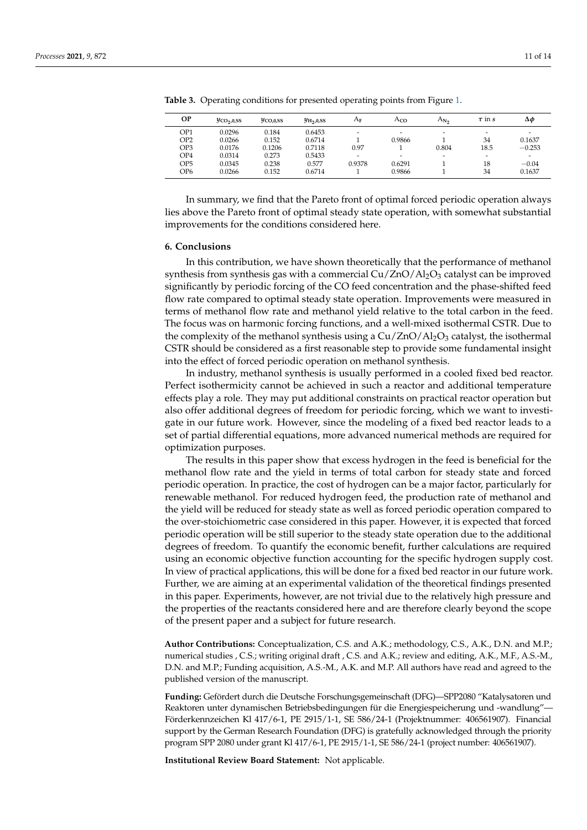| OP              | $y_{CO2,0,SS}$ | $y_{CO,0,SS}$ | $y_{\mathrm{H}_2,0,\mathrm{SS}}$ | $A_{\rm F}$              | Aco    | $A_{N_2}$                | $\tau$ in s              | Δφ       |
|-----------------|----------------|---------------|----------------------------------|--------------------------|--------|--------------------------|--------------------------|----------|
| OP1             | 0.0296         | 0.184         | 0.6453                           |                          | -      | $\overline{\phantom{0}}$ | $\overline{\phantom{a}}$ |          |
| OP <sub>2</sub> | 0.0266         | 0.152         | 0.6714                           |                          | 0.9866 |                          | 34                       | 0.1637   |
| OP3             | 0.0176         | 0.1206        | 0.7118                           | 0.97                     |        | 0.804                    | 18.5                     | $-0.253$ |
| OP4             | 0.0314         | 0.273         | 0.5433                           | $\overline{\phantom{a}}$ | -      | $\overline{\phantom{0}}$ | $\overline{\phantom{a}}$ |          |
| OP5             | 0.0345         | 0.238         | 0.577                            | 0.9378                   | 0.6291 |                          | 18                       | $-0.04$  |
| OP6             | 0.0266         | 0.152         | 0.6714                           |                          | 0.9866 |                          | 34                       | 0.1637   |
|                 |                |               |                                  |                          |        |                          |                          |          |

<span id="page-10-0"></span>**Table 3.** Operating conditions for presented operating points from Figure [1.](#page-7-0)

In summary, we find that the Pareto front of optimal forced periodic operation always lies above the Pareto front of optimal steady state operation, with somewhat substantial improvements for the conditions considered here.

#### **6. Conclusions**

In this contribution, we have shown theoretically that the performance of methanol synthesis from synthesis gas with a commercial Cu/ZnO/Al<sub>2</sub>O<sub>3</sub> catalyst can be improved significantly by periodic forcing of the CO feed concentration and the phase-shifted feed flow rate compared to optimal steady state operation. Improvements were measured in terms of methanol flow rate and methanol yield relative to the total carbon in the feed. The focus was on harmonic forcing functions, and a well-mixed isothermal CSTR. Due to the complexity of the methanol synthesis using a  $Cu/ZnO/Al<sub>2</sub>O<sub>3</sub>$  catalyst, the isothermal CSTR should be considered as a first reasonable step to provide some fundamental insight into the effect of forced periodic operation on methanol synthesis.

In industry, methanol synthesis is usually performed in a cooled fixed bed reactor. Perfect isothermicity cannot be achieved in such a reactor and additional temperature effects play a role. They may put additional constraints on practical reactor operation but also offer additional degrees of freedom for periodic forcing, which we want to investigate in our future work. However, since the modeling of a fixed bed reactor leads to a set of partial differential equations, more advanced numerical methods are required for optimization purposes.

The results in this paper show that excess hydrogen in the feed is beneficial for the methanol flow rate and the yield in terms of total carbon for steady state and forced periodic operation. In practice, the cost of hydrogen can be a major factor, particularly for renewable methanol. For reduced hydrogen feed, the production rate of methanol and the yield will be reduced for steady state as well as forced periodic operation compared to the over-stoichiometric case considered in this paper. However, it is expected that forced periodic operation will be still superior to the steady state operation due to the additional degrees of freedom. To quantify the economic benefit, further calculations are required using an economic objective function accounting for the specific hydrogen supply cost. In view of practical applications, this will be done for a fixed bed reactor in our future work. Further, we are aiming at an experimental validation of the theoretical findings presented in this paper. Experiments, however, are not trivial due to the relatively high pressure and the properties of the reactants considered here and are therefore clearly beyond the scope of the present paper and a subject for future research.

**Author Contributions:** Conceptualization, C.S. and A.K.; methodology, C.S., A.K., D.N. and M.P.; numerical studies , C.S.; writing original draft , C.S. and A.K.; review and editing, A.K., M.F., A.S.-M., D.N. and M.P.; Funding acquisition, A.S.-M., A.K. and M.P. All authors have read and agreed to the published version of the manuscript.

**Funding:** Gefördert durch die Deutsche Forschungsgemeinschaft (DFG)—SPP2080 "Katalysatoren und Reaktoren unter dynamischen Betriebsbedingungen für die Energiespeicherung und -wandlung"— Förderkennzeichen Kl 417/6-1, PE 2915/1-1, SE 586/24-1 (Projektnummer: 406561907). Financial support by the German Research Foundation (DFG) is gratefully acknowledged through the priority program SPP 2080 under grant Kl 417/6-1, PE 2915/1-1, SE 586/24-1 (project number: 406561907).

**Institutional Review Board Statement:** Not applicable.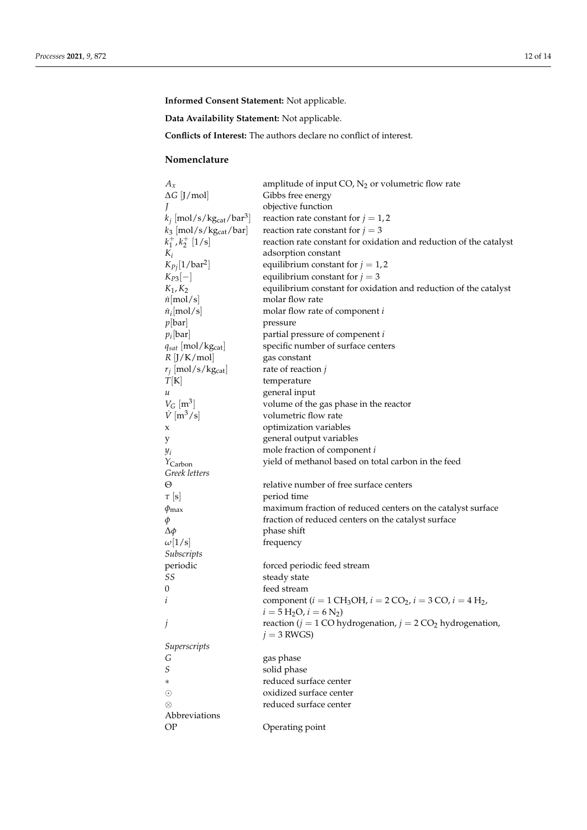**Informed Consent Statement:** Not applicable.

**Data Availability Statement:** Not applicable.

**Conflicts of Interest:** The authors declare no conflict of interest.

# **Nomenclature**

| $A_x$                                              | amplitude of input $CO$ , $N_2$ or volumetric flow rate                                                   |
|----------------------------------------------------|-----------------------------------------------------------------------------------------------------------|
| $\Delta G$ [J/mol]                                 | Gibbs free energy                                                                                         |
|                                                    | objective function                                                                                        |
| $k_j$ [mol/s/kg <sub>cat</sub> /bar <sup>3</sup> ] | reaction rate constant for $j = 1, 2$                                                                     |
| $k_3$ [mol/s/kg <sub>cat</sub> /bar]               | reaction rate constant for $j = 3$                                                                        |
| $k_1^+, k_2^+$ [1/s]                               | reaction rate constant for oxidation and reduction of the catalyst                                        |
| $K_i$                                              | adsorption constant                                                                                       |
| $K_{Pj}[1/\bar{\mathrm{bar}}^2]$                   | equilibrium constant for $j = 1, 2$                                                                       |
| $K_{P3}[-]$                                        | equilibrium constant for $j = 3$                                                                          |
| $K_1, K_2$                                         | equilibrium constant for oxidation and reduction of the catalyst                                          |
| $\dot{n}$ [mol/s]                                  | molar flow rate                                                                                           |
| $n_i$ [mol/s]                                      | molar flow rate of component i                                                                            |
| p[bar]                                             | pressure                                                                                                  |
| $p_i$ [bar]                                        | partial pressure of compenent i                                                                           |
| $q_{sat}$ [mol/kg <sub>cat</sub> ]                 | specific number of surface centers                                                                        |
| $R$ [J/K/mol]                                      | gas constant                                                                                              |
| $r_j$ [mol/s/kg <sub>cat</sub> ]                   | rate of reaction $j$                                                                                      |
| T[K]                                               | temperature                                                                                               |
| и                                                  | general input                                                                                             |
| $V_G$ [m <sup>3</sup> ]                            | volume of the gas phase in the reactor                                                                    |
| $\dot{V}$ [m <sup>3</sup> /s]                      | volumetric flow rate                                                                                      |
| x                                                  | optimization variables                                                                                    |
| у                                                  | general output variables                                                                                  |
| $y_i$                                              | mole fraction of component i                                                                              |
| $Y_{\text{Carbon}}$                                | yield of methanol based on total carbon in the feed                                                       |
| Greek letters                                      |                                                                                                           |
| Θ                                                  | relative number of free surface centers                                                                   |
| $\tau$ [s]                                         | period time                                                                                               |
| $\phi_{\rm max}$                                   | maximum fraction of reduced centers on the catalyst surface                                               |
| φ                                                  | fraction of reduced centers on the catalyst surface                                                       |
| $\Delta \phi$                                      | phase shift                                                                                               |
| $\omega[1/s]$                                      | frequency                                                                                                 |
| Subscripts                                         |                                                                                                           |
| periodic                                           | forced periodic feed stream                                                                               |
| SS                                                 | steady state                                                                                              |
| $\boldsymbol{0}$                                   | feed stream                                                                                               |
| i                                                  | component ( $i = 1 \text{CH}_3\text{OH}$ , $i = 2 \text{CO}_2$ , $i = 3 \text{CO}$ , $i = 4 \text{H}_2$ , |
|                                                    | $i = 5$ H <sub>2</sub> O, $i = 6$ N <sub>2</sub> )                                                        |
| j                                                  | reaction ( $j = 1$ CO hydrogenation, $j = 2$ CO <sub>2</sub> hydrogenation,                               |
|                                                    | $j = 3$ RWGS)                                                                                             |
| Superscripts                                       |                                                                                                           |
| G                                                  | gas phase                                                                                                 |
| $\cal S$                                           | solid phase                                                                                               |
| $\ast$                                             | reduced surface center                                                                                    |
| $_{\odot}$                                         | oxidized surface center                                                                                   |
| ⊗                                                  | reduced surface center                                                                                    |
| Abbreviations                                      |                                                                                                           |
| <b>OP</b>                                          | Operating point                                                                                           |
|                                                    |                                                                                                           |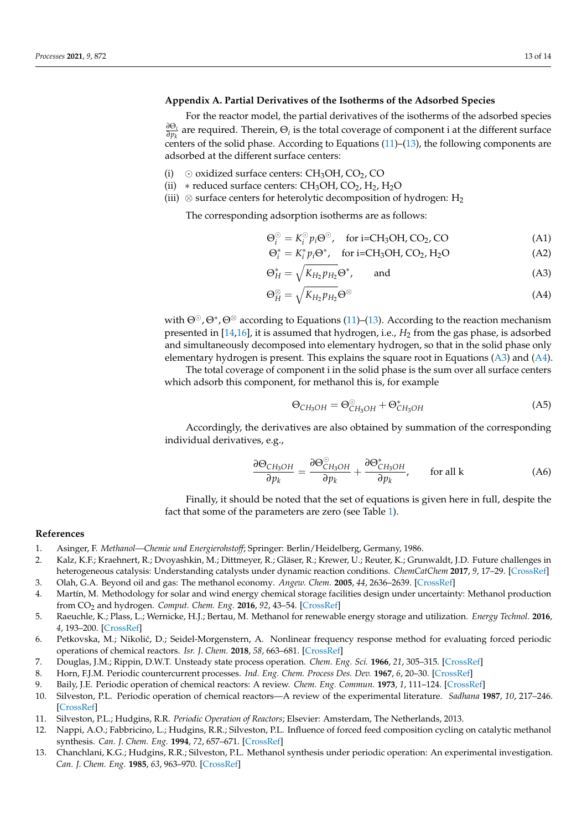# <span id="page-12-10"></span>**Appendix A. Partial Derivatives of the Isotherms of the Adsorbed Species**

For the reactor model, the partial derivatives of the isotherms of the adsorbed species *∂*Θ*<sup>i</sup>*  $\frac{\partial \mathcal{O}_i}{\partial p_k}$  are required. Therein,  $\Theta_i$  is the total coverage of component i at the different surface centers of the solid phase. According to Equations [\(11\)](#page-2-1)–[\(13\)](#page-2-2), the following components are adsorbed at the different surface centers:

- (i)  $\odot$  oxidized surface centers: CH<sub>3</sub>OH, CO<sub>2</sub>, CO
- (ii) \* reduced surface centers:  $CH<sub>3</sub>OH$ ,  $CO<sub>2</sub>$ ,  $H<sub>2</sub>$ ,  $H<sub>2</sub>O$
- (iii)  $\otimes$  surface centers for heterolytic decomposition of hydrogen: H<sub>2</sub>

The corresponding adsorption isotherms are as follows:

<span id="page-12-11"></span>
$$
\Theta_i^{\odot} = K_i^{\odot} p_i \Theta^{\odot}, \quad \text{for i=CH_3OH, CO_2, CO}
$$
 (A1)

$$
\Theta_i^* = K_i^* p_i \Theta^*, \quad \text{for i=CH_3OH, CO_2, H_2O} \tag{A2}
$$

$$
\Theta_H^* = \sqrt{K_{H_2} p_{H_2}} \Theta^*, \quad \text{and} \tag{A3}
$$

<span id="page-12-12"></span>
$$
\Theta_H^{\otimes} = \sqrt{K_{H_2} p_{H_2}} \Theta^{\otimes} \tag{A4}
$$

with  $\Theta^{\odot}$ ,  $\Theta^*$ ,  $\Theta^{\otimes}$  according to Equations [\(11\)](#page-2-1)–[\(13\)](#page-2-2). According to the reaction mechanism presented in [\[14](#page-13-0)[,16\]](#page-13-2), it is assumed that hydrogen, i.e., *H*<sup>2</sup> from the gas phase, is adsorbed and simultaneously decomposed into elementary hydrogen, so that in the solid phase only elementary hydrogen is present. This explains the square root in Equations [\(A3\)](#page-12-11) and [\(A4\)](#page-12-12).

The total coverage of component i in the solid phase is the sum over all surface centers which adsorb this component, for methanol this is, for example

$$
\Theta_{CH_3OH} = \Theta_{CH_3OH}^{\odot} + \Theta_{CH_3OH}^* \tag{A5}
$$

Accordingly, the derivatives are also obtained by summation of the corresponding individual derivatives, e.g.,

$$
\frac{\partial \Theta_{CH_3OH}}{\partial p_k} = \frac{\partial \Theta_{CH_3OH}^{\circ}}{\partial p_k} + \frac{\partial \Theta_{CH_3OH}^*}{\partial p_k}, \quad \text{for all k} \tag{A6}
$$

Finally, it should be noted that the set of equations is given here in full, despite the fact that some of the parameters are zero (see Table [1\)](#page-3-0).

#### **References**

- <span id="page-12-0"></span>1. Asinger, F. *Methanol—Chemie und Energierohstoff*; Springer: Berlin/Heidelberg, Germany, 1986.
- <span id="page-12-1"></span>2. Kalz, K.F.; Kraehnert, R.; Dvoyashkin, M.; Dittmeyer, R.; Gläser, R.; Krewer, U.; Reuter, K.; Grunwaldt, J.D. Future challenges in heterogeneous catalysis: Understanding catalysts under dynamic reaction conditions. *ChemCatChem* **2017**, *9*, 17–29. [\[CrossRef\]](http://doi.org/10.1002/cctc.201600996)
- <span id="page-12-2"></span>3. Olah, G.A. Beyond oil and gas: The methanol economy. *Angew. Chem.* **2005**, *44*, 2636–2639. [\[CrossRef\]](http://dx.doi.org/10.1002/anie.200462121) 4. Martín, M. Methodology for solar and wind energy chemical storage facilities design under uncertainty: Methanol production from CO<sup>2</sup> and hydrogen. *Comput. Chem. Eng.* **2016**, *92*, 43–54. [\[CrossRef\]](http://dx.doi.org/10.1016/j.compchemeng.2016.05.001)
- <span id="page-12-3"></span>5. Raeuchle, K.; Plass, L.; Wernicke, H.J.; Bertau, M. Methanol for renewable energy storage and utilization. *Energy Technol.* **2016**, *4*, 193–200. [\[CrossRef\]](http://dx.doi.org/10.1002/ente.201500322)
- <span id="page-12-4"></span>6. Petkovska, M.; Nikoli´c, D.; Seidel-Morgenstern, A. Nonlinear frequency response method for evaluating forced periodic operations of chemical reactors. *Isr. J. Chem.* **2018**, *58*, 663–681. [\[CrossRef\]](http://dx.doi.org/10.1002/ijch.201700132)
- <span id="page-12-5"></span>7. Douglas, J.M.; Rippin, D.W.T. Unsteady state process operation. *Chem. Eng. Sci.* **1966**, *21*, 305–315. [\[CrossRef\]](http://dx.doi.org/10.1016/0009-2509(66)85023-6)
- 8. Horn, F.J.M. Periodic countercurrent processes. *Ind. Eng. Chem. Process Des. Dev.* **1967**, *6*, 20–30. [\[CrossRef\]](http://dx.doi.org/10.1021/i260021a006)
- 9. Baily, J.E. Periodic operation of chemical reactors: A review. *Chem. Eng. Commun.* **1973**, *1*, 111–124. [\[CrossRef\]](http://dx.doi.org/10.1080/00986447408960421)
- <span id="page-12-6"></span>10. Silveston, P.L. Periodic operation of chemical reactors—A review of the experimental literature. *Sadhana* **1987**, *10*, 217–246. [\[CrossRef\]](http://dx.doi.org/10.1007/BF02816206)
- <span id="page-12-7"></span>11. Silveston, P.L.; Hudgins, R.R. *Periodic Operation of Reactors*; Elsevier: Amsterdam, The Netherlands, 2013.
- <span id="page-12-8"></span>12. Nappi, A.O.; Fabbricino, L.; Hudgins, R.R.; Silveston, P.L. Influence of forced feed composition cycling on catalytic methanol synthesis. *Can. J. Chem. Eng.* **1994**, *72*, 657–671. [\[CrossRef\]](http://dx.doi.org/10.1002/cjce.5450630613)
- <span id="page-12-9"></span>13. Chanchlani, K.G.; Hudgins, R.R.; Silveston, P.L. Methanol synthesis under periodic operation: An experimental investigation. *Can. J. Chem. Eng.* **1985**, *63*, 963–970. [\[CrossRef\]](http://dx.doi.org/10.1002/cjce.5450720416)